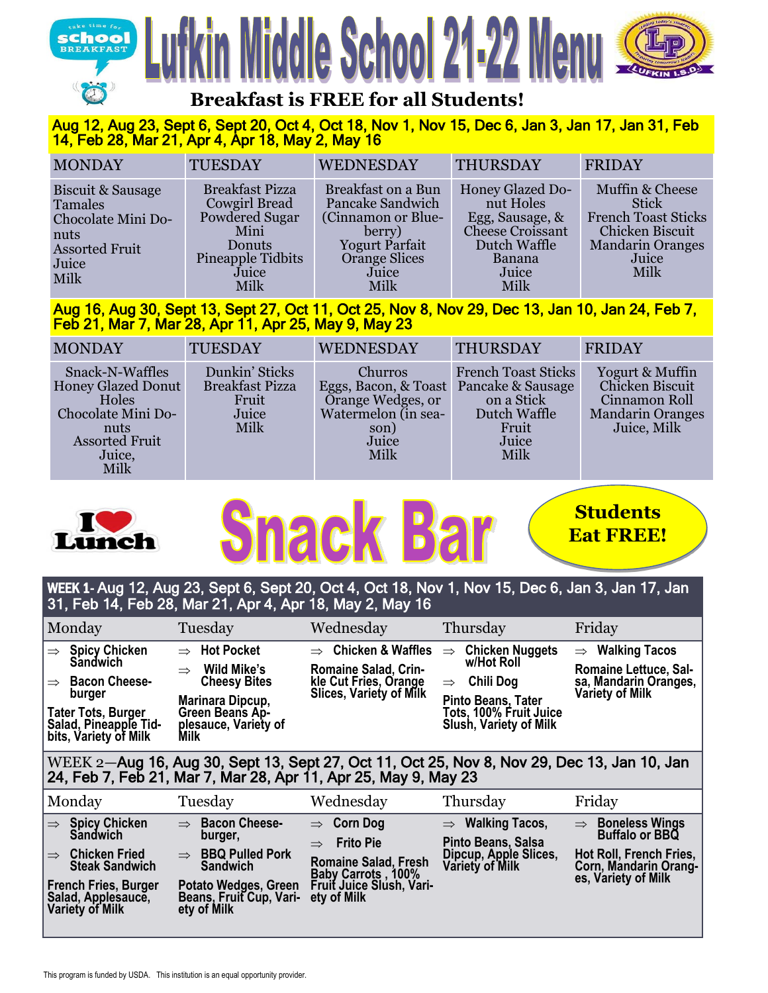



# **Breakfast is FREE for all Students!**

## Aug 12, Aug 23, Sept 6, Sept 20, Oct 4, Oct 18, Nov 1, Nov 15, Dec 6, Jan 3, Jan 17, Jan 31, Feb 14, Feb 28, Mar 21, Apr 4, Apr 18, May 2, May 16

| <b>MONDAY</b>                                                                                               | <b>TUESDAY</b>                                                                                                           | <b>WEDNESDAY</b>                                                                                                                                | <b>THURSDAY</b>                                                                                                        | <b>FRIDAY</b>                                                                                                                |
|-------------------------------------------------------------------------------------------------------------|--------------------------------------------------------------------------------------------------------------------------|-------------------------------------------------------------------------------------------------------------------------------------------------|------------------------------------------------------------------------------------------------------------------------|------------------------------------------------------------------------------------------------------------------------------|
| Biscuit & Sausage<br>Tamales<br>Chocolate Mini Do-<br>nuts<br><b>Assorted Fruit</b><br>Juice<br><b>Milk</b> | <b>Breakfast Pizza</b><br><b>Cowgirl Bread</b><br>Powdered Sugar<br>Mini<br>Donuts<br>Pineapple Tidbits<br>Juice<br>Milk | <b>Breakfast on a Bun</b><br><b>Pancake Sandwich</b><br>(Cinnamon or Blue-<br>berry)<br><b>Yogurt Parfait</b><br>Orange Slices<br>Juice<br>Milk | <b>Honey Glazed Do-</b><br>nut Holes<br>Egg, Sausage, &<br>Cheese Croissant<br>Dutch Waffle<br>Banana<br>Juice<br>Milk | Muffin & Cheese<br><b>Stick</b><br><b>French Toast Sticks</b><br>Chicken Biscuit<br><b>Mandarin Oranges</b><br>Juice<br>Milk |

Aug 16, Aug 30, Sept 13, Sept 27, Oct 11, Oct 25, Nov 8, Nov 29, Dec 13, Jan 10, Jan 24, Feb 7, Feb 21, Mar 7, Mar 28, Apr 11, Apr 25, May 9, May 23

| <b>MONDAY</b>                                                                                                                  | <b>TUESDAY</b>                                                     | <b>WEDNESDAY</b>                                                                                                       | <b>THURSDAY</b>                                                                    | <b>FRIDAY</b>                                                                                 |
|--------------------------------------------------------------------------------------------------------------------------------|--------------------------------------------------------------------|------------------------------------------------------------------------------------------------------------------------|------------------------------------------------------------------------------------|-----------------------------------------------------------------------------------------------|
| Snack-N-Waffles<br><b>Honey Glazed Donut</b><br>Holes<br>Chocolate Mini Do-<br>nuts<br><b>Assorted Fruit</b><br>Juice,<br>Milk | Dunkin' Sticks<br><b>Breakfast Pizza</b><br>Fruit<br>Juice<br>Milk | Churros<br>Eggs, Bacon, & Toast Pancake & Sausage<br>Orange Wedges, or<br>Watermelon (in sea-<br>son)<br>Juice<br>Milk | <b>French Toast Sticks</b><br>on a Stick<br>Dutch Waffle<br>Fruit<br>Juice<br>Milk | Yogurt & Muffin<br>Chicken Biscuit<br>Cinnamon Roll<br><b>Mandarin Oranges</b><br>Juice, Milk |



# **Students Eat FREE!**

# WEEK 1- Aug 12, Aug 23, Sept 6, Sept 20, Oct 4, Oct 18, Nov 1, Nov 15, Dec 6, Jan 3, Jan 17, Jan 31, Feb 14, Feb 28, Mar 21, Apr 4, Apr 18, May 2, May 16

| Monday                                                                                                                                                                                     | Tuesday                                                                                                                                                | Wednesday                                                                                                          | Thursday                                                                                                                                                             | Friday                                                                                           |  |  |
|--------------------------------------------------------------------------------------------------------------------------------------------------------------------------------------------|--------------------------------------------------------------------------------------------------------------------------------------------------------|--------------------------------------------------------------------------------------------------------------------|----------------------------------------------------------------------------------------------------------------------------------------------------------------------|--------------------------------------------------------------------------------------------------|--|--|
| <b>Spicy Chicken</b><br>$\Rightarrow$<br><b>Sandwich</b><br><b>Bacon Cheese-</b><br>$\Rightarrow$<br>burger<br><b>Tater Tots, Burger</b><br>Salad, Pineapple Tid-<br>bits, Variety of Milk | $\Rightarrow$ Hot Pocket<br>Wild Mike's<br>$\Rightarrow$<br><b>Cheesy Bites</b><br>Marinara Dipcup,<br>Green Beans Ap-<br>plesauce, Variety of<br>Milk | $\Rightarrow$ Chicken & Waffles<br><b>Romaine Salad, Crin-</b><br>kle Cut Fries, Orange<br>Slices, Variety of Milk | <b>Chicken Nuggets</b><br>$\Rightarrow$<br>w/Hot Roll<br>Chili Dog<br>$\Rightarrow$<br>Pinto Beans, Tater<br>Tots, 100% Fruit Juice<br><b>Slush, Variety of Milk</b> | $\Rightarrow$ Walking Tacos<br>Romaine Lettuce, Sal-<br>sa, Mandarin Oranges,<br>Variety of Milk |  |  |
| WEEK 2-Aug 16, Aug 30, Sept 13, Sept 27, Oct 11, Oct 25, Nov 8, Nov 29, Dec 13, Jan 10, Jan<br>24, Feb 7, Feb 21, Mar 7, Mar 28, Apr 11, Apr 25, May 9, May 23                             |                                                                                                                                                        |                                                                                                                    |                                                                                                                                                                      |                                                                                                  |  |  |

| Monday                                                                                                                                                                                  | Tuesday                                                                                                                                                                  | Wednesday                                                                                                                                           | Thursday                                                                                              | Friday                                                                                                                              |
|-----------------------------------------------------------------------------------------------------------------------------------------------------------------------------------------|--------------------------------------------------------------------------------------------------------------------------------------------------------------------------|-----------------------------------------------------------------------------------------------------------------------------------------------------|-------------------------------------------------------------------------------------------------------|-------------------------------------------------------------------------------------------------------------------------------------|
| <b>Spicy Chicken<br/>Sandwich</b><br>$\Rightarrow$<br><b>Chicken Fried</b><br>$\Rightarrow$<br><b>Steak Sandwich</b><br>French Fries, Burger<br> Salad, Applesaucĕ,<br> Variety of Milk | $\Rightarrow$ Bacon Cheese-<br>burger,<br>$\Rightarrow$ BBQ Pulled Pork<br><b>Sandwich</b><br>Potato Wedges, Green<br>Beans, Fruit Cup, Vari- ety of Milk<br>ety of Milk | $\Rightarrow$ Corn Dog<br><b>Frito Pie</b><br>$\Rightarrow$<br><b>Romaine Salad, Fresh</b><br><b>Baby Carrots, 100%</b><br>Fruit Juice Slush, Vari- | $\Rightarrow$ Walking Tacos,<br>Pinto Beans, Salsa<br>Dipcup, Apple Slices,<br><b>Variety of Milk</b> | <b>Boneless Wings</b><br>$\Rightarrow$<br>Buffalo or BBQ<br>Hot Roll, French Fries,<br>Corn, Mandarin Orang-<br>es, Variety of Milk |

Choose 2.